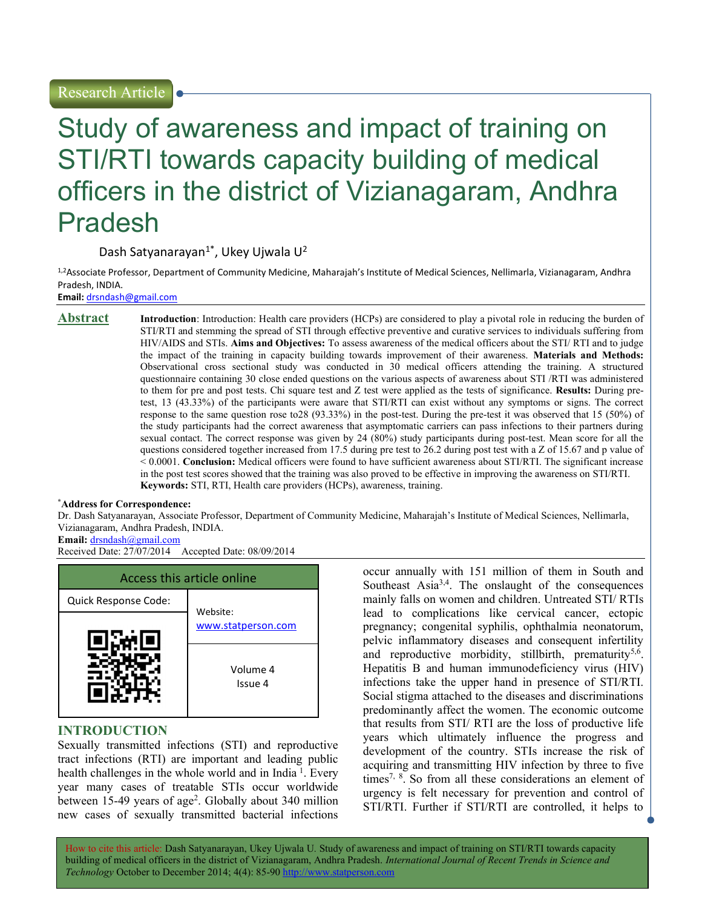# Study of awareness and impact of training on STI/RTI towards capacity building of medical officers in the district of Vizianagaram, Andhra Pradesh

Dash Satyanarayan<sup>1\*</sup>, Ukey Ujwala U<sup>2</sup>

1,2Associate Professor, Department of Community Medicine, Maharajah's Institute of Medical Sciences, Nellimarla, Vizianagaram, Andhra Pradesh, INDIA.

Email: drsndash@gmail.com

**Abstract** Introduction: Introduction: Health care providers (HCPs) are considered to play a pivotal role in reducing the burden of STI/RTI and stemming the spread of STI through effective preventive and curative services to individuals suffering from HIV/AIDS and STIs. Aims and Objectives: To assess awareness of the medical officers about the STI/ RTI and to judge the impact of the training in capacity building towards improvement of their awareness. Materials and Methods: Observational cross sectional study was conducted in 30 medical officers attending the training. A structured questionnaire containing 30 close ended questions on the various aspects of awareness about STI /RTI was administered to them for pre and post tests. Chi square test and Z test were applied as the tests of significance. Results: During pretest, 13 (43.33%) of the participants were aware that STI/RTI can exist without any symptoms or signs. The correct response to the same question rose to28 (93.33%) in the post-test. During the pre-test it was observed that 15 (50%) of the study participants had the correct awareness that asymptomatic carriers can pass infections to their partners during sexual contact. The correct response was given by 24 (80%) study participants during post-test. Mean score for all the questions considered together increased from 17.5 during pre test to 26.2 during post test with a Z of 15.67 and p value of < 0.0001. Conclusion: Medical officers were found to have sufficient awareness about STI/RTI. The significant increase in the post test scores showed that the training was also proved to be effective in improving the awareness on STI/RTI. Keywords: STI, RTI, Health care providers (HCPs), awareness, training.

#### \*Address for Correspondence:

Dr. Dash Satyanarayan, Associate Professor, Department of Community Medicine, Maharajah's Institute of Medical Sciences, Nellimarla, Vizianagaram, Andhra Pradesh, INDIA.

Email: drsndash@gmail.com

Received Date: 27/07/2014 Accepted Date: 08/09/2014



# INTRODUCTION

Sexually transmitted infections (STI) and reproductive tract infections (RTI) are important and leading public health challenges in the whole world and in India<sup>1</sup>. Every year many cases of treatable STIs occur worldwide between 15-49 years of age<sup>2</sup>. Globally about 340 million new cases of sexually transmitted bacterial infections

occur annually with 151 million of them in South and Southeast Asia<sup>3,4</sup>. The onslaught of the consequences mainly falls on women and children. Untreated STI/ RTIs lead to complications like cervical cancer, ectopic pregnancy; congenital syphilis, ophthalmia neonatorum, pelvic inflammatory diseases and consequent infertility and reproductive morbidity, stillbirth, prematurity<sup>5,6</sup>. Hepatitis B and human immunodeficiency virus (HIV) infections take the upper hand in presence of STI/RTI. Social stigma attached to the diseases and discriminations predominantly affect the women. The economic outcome that results from STI/ RTI are the loss of productive life years which ultimately influence the progress and development of the country. STIs increase the risk of acquiring and transmitting HIV infection by three to five times<sup>7, 8</sup>. So from all these considerations an element of urgency is felt necessary for prevention and control of STI/RTI. Further if STI/RTI are controlled, it helps to

How to cite this article: Dash Satyanarayan, Ukey Ujwala U. Study of awareness and impact of training on STI/RTI towards capacity building of medical officers in the district of Vizianagaram, Andhra Pradesh. International Journal of Recent Trends in Science and Technology October to December 2014; 4(4): 85-90 http://www.statperson.com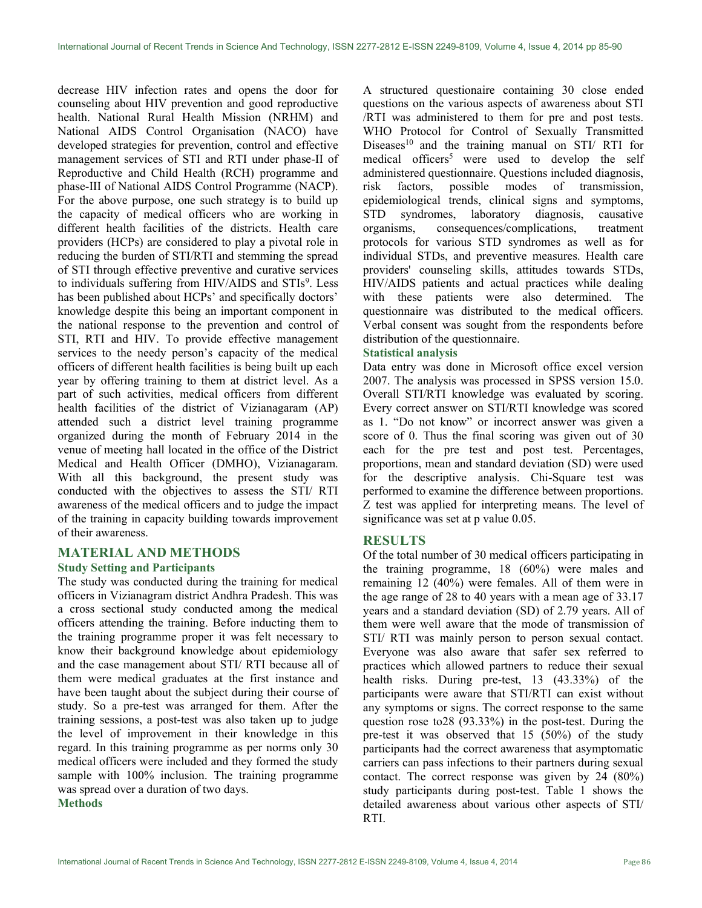decrease HIV infection rates and opens the door for counseling about HIV prevention and good reproductive health. National Rural Health Mission (NRHM) and National AIDS Control Organisation (NACO) have developed strategies for prevention, control and effective management services of STI and RTI under phase-II of Reproductive and Child Health (RCH) programme and phase-III of National AIDS Control Programme (NACP). For the above purpose, one such strategy is to build up the capacity of medical officers who are working in different health facilities of the districts. Health care providers (HCPs) are considered to play a pivotal role in reducing the burden of STI/RTI and stemming the spread of STI through effective preventive and curative services to individuals suffering from HIV/AIDS and STIs<sup>9</sup>. Less has been published about HCPs' and specifically doctors' knowledge despite this being an important component in the national response to the prevention and control of STI, RTI and HIV. To provide effective management services to the needy person's capacity of the medical officers of different health facilities is being built up each year by offering training to them at district level. As a part of such activities, medical officers from different health facilities of the district of Vizianagaram (AP) attended such a district level training programme organized during the month of February 2014 in the venue of meeting hall located in the office of the District Medical and Health Officer (DMHO), Vizianagaram. With all this background, the present study was conducted with the objectives to assess the STI/ RTI awareness of the medical officers and to judge the impact of the training in capacity building towards improvement of their awareness.

# MATERIAL AND METHODS

#### Study Setting and Participants

The study was conducted during the training for medical officers in Vizianagram district Andhra Pradesh. This was a cross sectional study conducted among the medical officers attending the training. Before inducting them to the training programme proper it was felt necessary to know their background knowledge about epidemiology and the case management about STI/ RTI because all of them were medical graduates at the first instance and have been taught about the subject during their course of study. So a pre-test was arranged for them. After the training sessions, a post-test was also taken up to judge the level of improvement in their knowledge in this regard. In this training programme as per norms only 30 medical officers were included and they formed the study sample with 100% inclusion. The training programme was spread over a duration of two days. **Methods** 

A structured questionaire containing 30 close ended questions on the various aspects of awareness about STI /RTI was administered to them for pre and post tests. WHO Protocol for Control of Sexually Transmitted Diseases<sup>10</sup> and the training manual on  $STI/ RTI$  for medical officers<sup>5</sup> were used to develop the self administered questionnaire. Questions included diagnosis, risk factors, possible modes of transmission, epidemiological trends, clinical signs and symptoms, STD syndromes, laboratory diagnosis, causative organisms, consequences/complications, treatment protocols for various STD syndromes as well as for individual STDs, and preventive measures. Health care providers' counseling skills, attitudes towards STDs, HIV/AIDS patients and actual practices while dealing with these patients were also determined. The questionnaire was distributed to the medical officers. Verbal consent was sought from the respondents before distribution of the questionnaire.

# Statistical analysis

Data entry was done in Microsoft office excel version 2007. The analysis was processed in SPSS version 15.0. Overall STI/RTI knowledge was evaluated by scoring. Every correct answer on STI/RTI knowledge was scored as 1. "Do not know" or incorrect answer was given a score of 0. Thus the final scoring was given out of 30 each for the pre test and post test. Percentages, proportions, mean and standard deviation (SD) were used for the descriptive analysis. Chi-Square test was performed to examine the difference between proportions. Z test was applied for interpreting means. The level of significance was set at p value 0.05.

# RESULTS

Of the total number of 30 medical officers participating in the training programme, 18 (60%) were males and remaining 12 (40%) were females. All of them were in the age range of 28 to 40 years with a mean age of 33.17 years and a standard deviation (SD) of 2.79 years. All of them were well aware that the mode of transmission of STI/ RTI was mainly person to person sexual contact. Everyone was also aware that safer sex referred to practices which allowed partners to reduce their sexual health risks. During pre-test, 13 (43.33%) of the participants were aware that STI/RTI can exist without any symptoms or signs. The correct response to the same question rose to28 (93.33%) in the post-test. During the pre-test it was observed that 15 (50%) of the study participants had the correct awareness that asymptomatic carriers can pass infections to their partners during sexual contact. The correct response was given by 24 (80%) study participants during post-test. Table 1 shows the detailed awareness about various other aspects of STI/ RTI.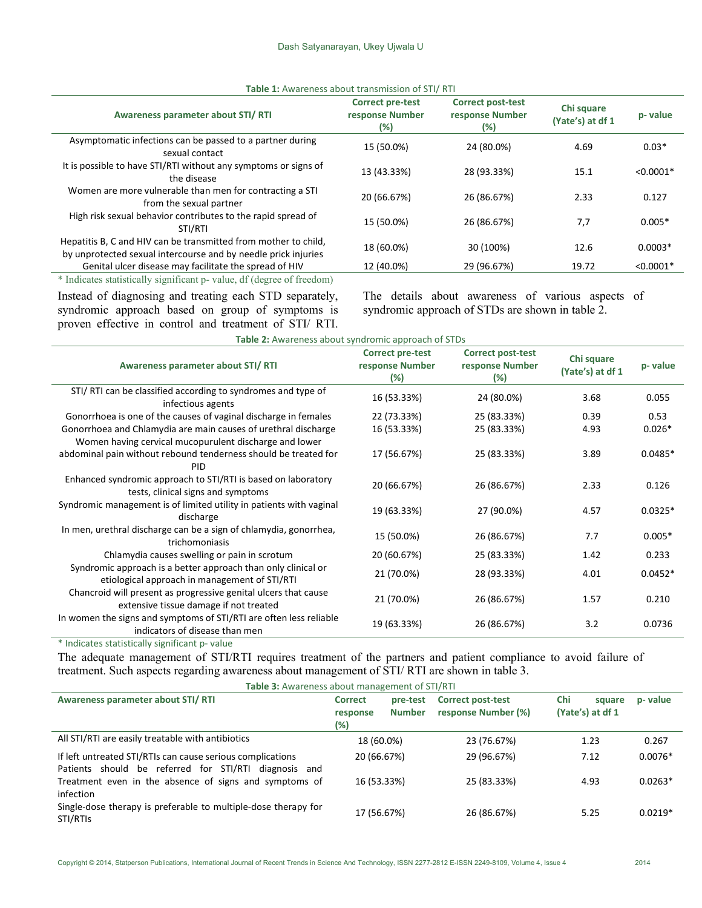| <b>Table 1.</b> Awareness about transmission or 3 h/ KH                                                                           |                                                   |                                                       |                                |             |  |  |
|-----------------------------------------------------------------------------------------------------------------------------------|---------------------------------------------------|-------------------------------------------------------|--------------------------------|-------------|--|--|
| Awareness parameter about STI/RTI                                                                                                 | <b>Correct pre-test</b><br>response Number<br>(%) | <b>Correct post-test</b><br>response Number<br>$(\%)$ | Chi square<br>(Yate's) at df 1 | p-value     |  |  |
| Asymptomatic infections can be passed to a partner during<br>sexual contact                                                       | 15 (50.0%)                                        | 24 (80.0%)                                            | 4.69                           | $0.03*$     |  |  |
| It is possible to have STI/RTI without any symptoms or signs of<br>the disease                                                    | 13 (43.33%)                                       | 28 (93.33%)                                           | 15.1                           | $< 0.0001*$ |  |  |
| Women are more vulnerable than men for contracting a STI<br>from the sexual partner                                               | 20 (66.67%)                                       | 26 (86.67%)                                           | 2.33                           | 0.127       |  |  |
| High risk sexual behavior contributes to the rapid spread of<br>STI/RTI                                                           | 15 (50.0%)                                        | 26 (86.67%)                                           | 7,7                            | $0.005*$    |  |  |
| Hepatitis B, C and HIV can be transmitted from mother to child,<br>by unprotected sexual intercourse and by needle prick injuries | 18 (60.0%)                                        | 30 (100%)                                             | 12.6                           | $0.0003*$   |  |  |
| Genital ulcer disease may facilitate the spread of HIV                                                                            | 12 (40.0%)                                        | 29 (96.67%)                                           | 19.72                          | $< 0.0001*$ |  |  |
| * Indicates statistically significant p- value, df (degree of freedom)                                                            |                                                   |                                                       |                                |             |  |  |

Table 1: Awareness about transmission of STI/ RTI

Instead of diagnosing and treating each STD separately, syndromic approach based on group of symptoms is proven effective in control and treatment of STI/ RTI.

The details about awareness of various aspects of syndromic approach of STDs are shown in table 2.

| Table 2: Awareness about syndromic approach of STDs                                                                      |                                               |                                                    |                                |           |  |  |
|--------------------------------------------------------------------------------------------------------------------------|-----------------------------------------------|----------------------------------------------------|--------------------------------|-----------|--|--|
| Awareness parameter about STI/RTI                                                                                        | Correct pre-test<br>response Number<br>$(\%)$ | <b>Correct post-test</b><br>response Number<br>(%) | Chi square<br>(Yate's) at df 1 | p-value   |  |  |
| STI/ RTI can be classified according to syndromes and type of<br>infectious agents                                       | 16 (53.33%)                                   | 24 (80.0%)                                         | 3.68                           | 0.055     |  |  |
| Gonorrhoea is one of the causes of vaginal discharge in females                                                          | 22 (73.33%)                                   | 25 (83.33%)                                        | 0.39                           | 0.53      |  |  |
| Gonorrhoea and Chlamydia are main causes of urethral discharge<br>Women having cervical mucopurulent discharge and lower | 16 (53.33%)                                   | 25 (83.33%)                                        | 4.93                           | $0.026*$  |  |  |
| abdominal pain without rebound tenderness should be treated for<br>PID                                                   | 17 (56.67%)                                   | 25 (83.33%)                                        | 3.89                           | $0.0485*$ |  |  |
| Enhanced syndromic approach to STI/RTI is based on laboratory<br>tests, clinical signs and symptoms                      | 20 (66.67%)                                   | 26 (86.67%)                                        | 2.33                           | 0.126     |  |  |
| Syndromic management is of limited utility in patients with vaginal<br>discharge                                         | 19 (63.33%)                                   | 27 (90.0%)                                         | 4.57                           | $0.0325*$ |  |  |
| In men, urethral discharge can be a sign of chlamydia, gonorrhea,<br>trichomoniasis                                      | 15 (50.0%)                                    | 26 (86.67%)                                        | 7.7                            | $0.005*$  |  |  |
| Chlamydia causes swelling or pain in scrotum                                                                             | 20 (60.67%)                                   | 25 (83.33%)                                        | 1.42                           | 0.233     |  |  |
| Syndromic approach is a better approach than only clinical or<br>etiological approach in management of STI/RTI           | 21 (70.0%)                                    | 28 (93.33%)                                        | 4.01                           | $0.0452*$ |  |  |
| Chancroid will present as progressive genital ulcers that cause<br>extensive tissue damage if not treated                | 21 (70.0%)                                    | 26 (86.67%)                                        | 1.57                           | 0.210     |  |  |
| In women the signs and symptoms of STI/RTI are often less reliable<br>indicators of disease than men                     | 19 (63.33%)                                   | 26 (86.67%)                                        | 3.2                            | 0.0736    |  |  |

\* Indicates statistically significant p- value

The adequate management of STI/RTI requires treatment of the partners and patient compliance to avoid failure of treatment. Such aspects regarding awareness about management of STI/ RTI are shown in table 3.

| <b>Table 3:</b> Awareness about management of STI/RTI                                                                  |                                   |                           |                                                 |     |                            |           |
|------------------------------------------------------------------------------------------------------------------------|-----------------------------------|---------------------------|-------------------------------------------------|-----|----------------------------|-----------|
| Awareness parameter about STI/RTI                                                                                      | <b>Correct</b><br>response<br>(%) | pre-test<br><b>Number</b> | <b>Correct post-test</b><br>response Number (%) | Chi | square<br>(Yate's) at df 1 | p- value  |
| All STI/RTI are easily treatable with antibiotics                                                                      | 18 (60.0%)                        |                           | 23 (76.67%)                                     |     | 1.23                       | 0.267     |
| If left untreated STI/RTIs can cause serious complications<br>Patients should be referred for STI/RTI<br>diagnosis and | 20 (66.67%)                       |                           | 29 (96.67%)                                     |     | 7.12                       | $0.0076*$ |
| Treatment even in the absence of signs and symptoms of<br>infection                                                    | 16 (53.33%)                       |                           | 25 (83.33%)                                     |     | 4.93                       | $0.0263*$ |
| Single-dose therapy is preferable to multiple-dose therapy for<br>STI/RTIs                                             | 17 (56.67%)                       |                           | 26 (86.67%)                                     |     | 5.25                       | $0.0219*$ |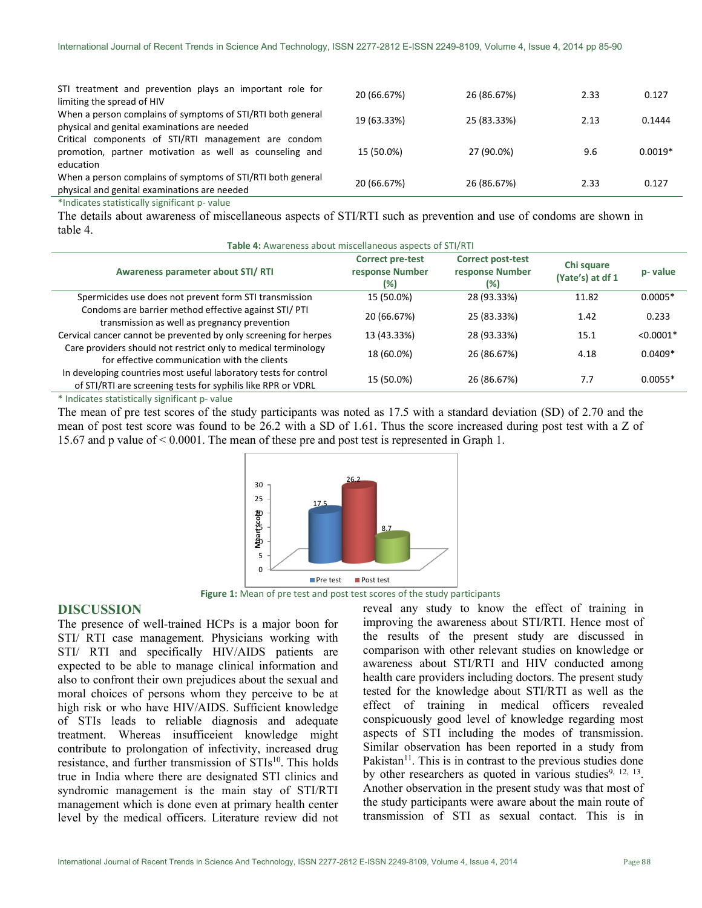| STI treatment and prevention plays an important role for<br>limiting the spread of HIV                                                                                                                                         | 20 (66.67%) | 26 (86.67%) | 2.33 | 0.127     |
|--------------------------------------------------------------------------------------------------------------------------------------------------------------------------------------------------------------------------------|-------------|-------------|------|-----------|
| When a person complains of symptoms of STI/RTI both general<br>physical and genital examinations are needed                                                                                                                    | 19 (63.33%) | 25 (83.33%) | 2.13 | 0.1444    |
| Critical components of STI/RTI management are condom<br>promotion, partner motivation as well as counseling and<br>education                                                                                                   | 15 (50.0%)  | 27 (90.0%)  | 9.6  | $0.0019*$ |
| When a person complains of symptoms of STI/RTI both general<br>physical and genital examinations are needed                                                                                                                    | 20 (66.67%) | 26 (86.67%) | 2.33 | 0.127     |
| the distribution of the distribution of the following the contract of the second second second second second second second second second second second second second second second second second second second second second s |             |             |      |           |

Indicates statistically significant p- value

The details about awareness of miscellaneous aspects of STI/RTI such as prevention and use of condoms are shown in table 4. Table 4: Awareness about miscellaneous aspects of STI/RTI

| <b>Table 4.</b> Awaltliess about inistenatious aspects of 3 H/NTI                                                                |                                                   |                                                    |                                |             |  |  |
|----------------------------------------------------------------------------------------------------------------------------------|---------------------------------------------------|----------------------------------------------------|--------------------------------|-------------|--|--|
| Awareness parameter about STI/RTI                                                                                                | <b>Correct pre-test</b><br>response Number<br>(%) | <b>Correct post-test</b><br>response Number<br>(%) | Chi square<br>(Yate's) at df 1 | p- value    |  |  |
| Spermicides use does not prevent form STI transmission                                                                           | 15 (50.0%)                                        | 28 (93.33%)                                        | 11.82                          | $0.0005*$   |  |  |
| Condoms are barrier method effective against STI/ PTI<br>transmission as well as pregnancy prevention                            | 20 (66.67%)                                       | 25 (83.33%)                                        | 1.42                           | 0.233       |  |  |
| Cervical cancer cannot be prevented by only screening for herpes                                                                 | 13 (43.33%)                                       | 28 (93.33%)                                        | 15.1                           | $< 0.0001*$ |  |  |
| Care providers should not restrict only to medical terminology<br>for effective communication with the clients                   | 18 (60.0%)                                        | 26 (86.67%)                                        | 4.18                           | $0.0409*$   |  |  |
| In developing countries most useful laboratory tests for control<br>of STI/RTI are screening tests for syphilis like RPR or VDRL | 15 (50.0%)                                        | 26 (86.67%)                                        | 7.7                            | $0.0055*$   |  |  |
|                                                                                                                                  |                                                   |                                                    |                                |             |  |  |

#### \* Indicates statistically significant p- value

The mean of pre test scores of the study participants was noted as 17.5 with a standard deviation (SD) of 2.70 and the mean of post test score was found to be 26.2 with a SD of 1.61. Thus the score increased during post test with a Z of 15.67 and p value of < 0.0001. The mean of these pre and post test is represented in Graph 1.



Figure 1: Mean of pre test and post test scores of the study participants

#### DISCUSSION

The presence of well-trained HCPs is a major boon for STI/ RTI case management. Physicians working with STI/ RTI and specifically HIV/AIDS patients are expected to be able to manage clinical information and also to confront their own prejudices about the sexual and moral choices of persons whom they perceive to be at high risk or who have HIV/AIDS. Sufficient knowledge of STIs leads to reliable diagnosis and adequate treatment. Whereas insufficeient knowledge might contribute to prolongation of infectivity, increased drug resistance, and further transmission of STIs<sup>10</sup>. This holds true in India where there are designated STI clinics and syndromic management is the main stay of STI/RTI management which is done even at primary health center level by the medical officers. Literature review did not

reveal any study to know the effect of training in improving the awareness about STI/RTI. Hence most of the results of the present study are discussed in comparison with other relevant studies on knowledge or awareness about STI/RTI and HIV conducted among health care providers including doctors. The present study tested for the knowledge about STI/RTI as well as the effect of training in medical officers revealed conspicuously good level of knowledge regarding most aspects of STI including the modes of transmission. Similar observation has been reported in a study from Pakistan $11$ . This is in contrast to the previous studies done by other researchers as quoted in various studies<sup>9, 12, 13</sup>. Another observation in the present study was that most of the study participants were aware about the main route of transmission of STI as sexual contact. This is in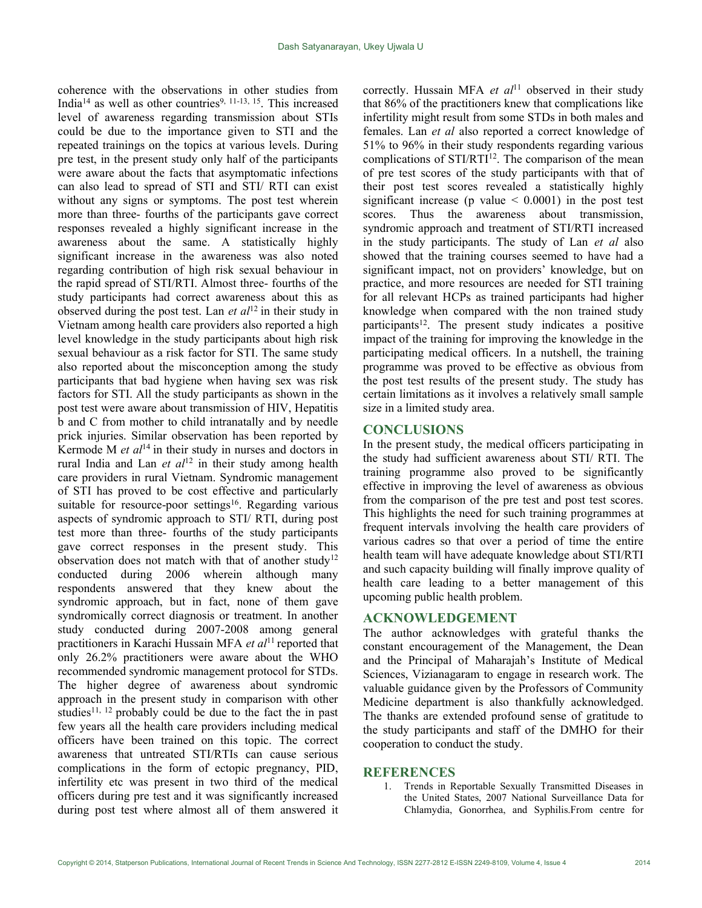coherence with the observations in other studies from India<sup>14</sup> as well as other countries<sup>9, 11-13, 15</sup>. This increased level of awareness regarding transmission about STIs could be due to the importance given to STI and the repeated trainings on the topics at various levels. During pre test, in the present study only half of the participants were aware about the facts that asymptomatic infections can also lead to spread of STI and STI/ RTI can exist without any signs or symptoms. The post test wherein more than three- fourths of the participants gave correct responses revealed a highly significant increase in the awareness about the same. A statistically highly significant increase in the awareness was also noted regarding contribution of high risk sexual behaviour in the rapid spread of STI/RTI. Almost three- fourths of the study participants had correct awareness about this as observed during the post test. Lan *et al*<sup>12</sup> in their study in Vietnam among health care providers also reported a high level knowledge in the study participants about high risk sexual behaviour as a risk factor for STI. The same study also reported about the misconception among the study participants that bad hygiene when having sex was risk factors for STI. All the study participants as shown in the post test were aware about transmission of HIV, Hepatitis b and C from mother to child intranatally and by needle prick injuries. Similar observation has been reported by Kermode M et  $al<sup>14</sup>$  in their study in nurses and doctors in rural India and Lan et  $al^{12}$  in their study among health care providers in rural Vietnam. Syndromic management of STI has proved to be cost effective and particularly suitable for resource-poor settings<sup>16</sup>. Regarding various aspects of syndromic approach to STI/ RTI, during post test more than three- fourths of the study participants gave correct responses in the present study. This observation does not match with that of another study<sup>12</sup> conducted during 2006 wherein although many respondents answered that they knew about the syndromic approach, but in fact, none of them gave syndromically correct diagnosis or treatment. In another study conducted during 2007-2008 among general practitioners in Karachi Hussain MFA et  $al<sup>11</sup>$  reported that only 26.2% practitioners were aware about the WHO recommended syndromic management protocol for STDs. The higher degree of awareness about syndromic approach in the present study in comparison with other studies<sup>11, 12</sup> probably could be due to the fact the in past few years all the health care providers including medical officers have been trained on this topic. The correct awareness that untreated STI/RTIs can cause serious complications in the form of ectopic pregnancy, PID, infertility etc was present in two third of the medical officers during pre test and it was significantly increased during post test where almost all of them answered it

correctly. Hussain MFA et  $al<sup>11</sup>$  observed in their study that 86% of the practitioners knew that complications like infertility might result from some STDs in both males and females. Lan et al also reported a correct knowledge of 51% to 96% in their study respondents regarding various complications of STI/RTI<sup>12</sup>. The comparison of the mean of pre test scores of the study participants with that of their post test scores revealed a statistically highly significant increase ( $p$  value  $\leq$  0.0001) in the post test scores. Thus the awareness about transmission, syndromic approach and treatment of STI/RTI increased in the study participants. The study of Lan et al also showed that the training courses seemed to have had a significant impact, not on providers' knowledge, but on practice, and more resources are needed for STI training for all relevant HCPs as trained participants had higher knowledge when compared with the non trained study participants<sup>12</sup>. The present study indicates a positive impact of the training for improving the knowledge in the participating medical officers. In a nutshell, the training programme was proved to be effective as obvious from the post test results of the present study. The study has certain limitations as it involves a relatively small sample size in a limited study area.

# **CONCLUSIONS**

In the present study, the medical officers participating in the study had sufficient awareness about STI/ RTI. The training programme also proved to be significantly effective in improving the level of awareness as obvious from the comparison of the pre test and post test scores. This highlights the need for such training programmes at frequent intervals involving the health care providers of various cadres so that over a period of time the entire health team will have adequate knowledge about STI/RTI and such capacity building will finally improve quality of health care leading to a better management of this upcoming public health problem.

# ACKNOWLEDGEMENT

The author acknowledges with grateful thanks the constant encouragement of the Management, the Dean and the Principal of Maharajah's Institute of Medical Sciences, Vizianagaram to engage in research work. The valuable guidance given by the Professors of Community Medicine department is also thankfully acknowledged. The thanks are extended profound sense of gratitude to the study participants and staff of the DMHO for their cooperation to conduct the study.

#### **REFERENCES**

1. Trends in Reportable Sexually Transmitted Diseases in the United States, 2007 National Surveillance Data for Chlamydia, Gonorrhea, and Syphilis.From centre for